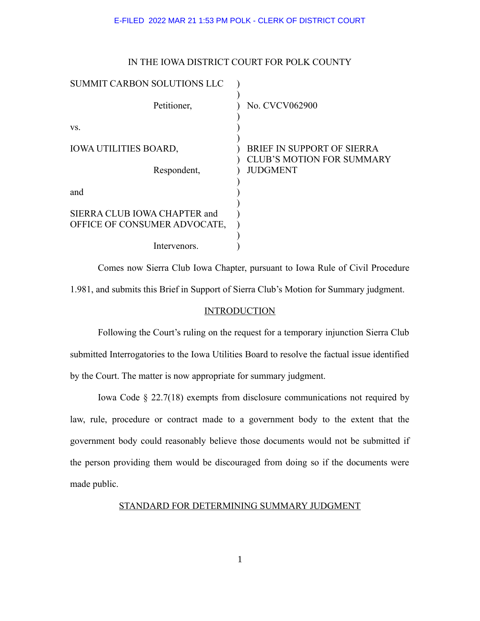### IN THE IOWA DISTRICT COURT FOR POLK COUNTY

| SUMMIT CARBON SOLUTIONS LLC                                  |                                                                |
|--------------------------------------------------------------|----------------------------------------------------------------|
| Petitioner,                                                  | No. CVCV062900                                                 |
| VS.                                                          |                                                                |
| <b>IOWA UTILITIES BOARD,</b>                                 | BRIEF IN SUPPORT OF SIERRA<br><b>CLUB'S MOTION FOR SUMMARY</b> |
| Respondent,                                                  | <b>JUDGMENT</b>                                                |
| and                                                          |                                                                |
| SIERRA CLUB IOWA CHAPTER and<br>OFFICE OF CONSUMER ADVOCATE, |                                                                |
| Intervenors.                                                 |                                                                |

Comes now Sierra Club Iowa Chapter, pursuant to Iowa Rule of Civil Procedure 1.981, and submits this Brief in Support of Sierra Club's Motion for Summary judgment.

### **INTRODUCTION**

Following the Court's ruling on the request for a temporary injunction Sierra Club submitted Interrogatories to the Iowa Utilities Board to resolve the factual issue identified by the Court. The matter is now appropriate for summary judgment.

Iowa Code § 22.7(18) exempts from disclosure communications not required by law, rule, procedure or contract made to a government body to the extent that the government body could reasonably believe those documents would not be submitted if the person providing them would be discouraged from doing so if the documents were made public.

STANDARD FOR DETERMINING SUMMARY JUDGMENT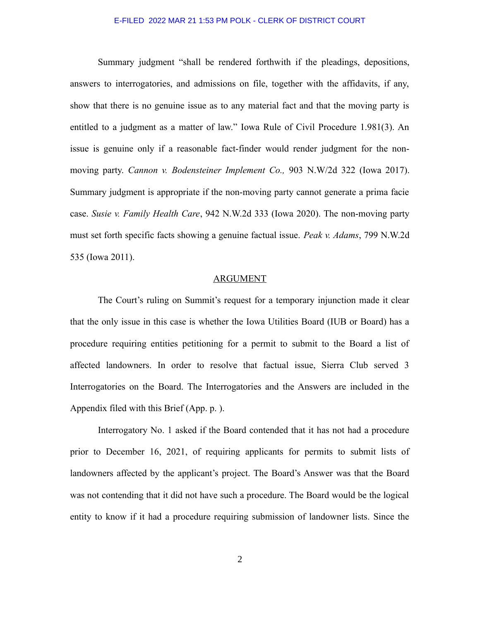Summary judgment "shall be rendered forthwith if the pleadings, depositions, answers to interrogatories, and admissions on file, together with the affidavits, if any, show that there is no genuine issue as to any material fact and that the moving party is entitled to a judgment as a matter of law." Iowa Rule of Civil Procedure 1.981(3). An issue is genuine only if a reasonable fact-finder would render judgment for the nonmoving party. *Cannon v. Bodensteiner Implement Co.,* 903 N.W/2d 322 (Iowa 2017). Summary judgment is appropriate if the non-moving party cannot generate a prima facie case. *Susie v. Family Health Care*, 942 N.W.2d 333 (Iowa 2020). The non-moving party must set forth specific facts showing a genuine factual issue. *Peak v. Adams*, 799 N.W.2d 535 (Iowa 2011).

# ARGUMENT

The Court's ruling on Summit's request for a temporary injunction made it clear that the only issue in this case is whether the Iowa Utilities Board (IUB or Board) has a procedure requiring entities petitioning for a permit to submit to the Board a list of affected landowners. In order to resolve that factual issue, Sierra Club served 3 Interrogatories on the Board. The Interrogatories and the Answers are included in the Appendix filed with this Brief (App. p. ).

Interrogatory No. 1 asked if the Board contended that it has not had a procedure prior to December 16, 2021, of requiring applicants for permits to submit lists of landowners affected by the applicant's project. The Board's Answer was that the Board was not contending that it did not have such a procedure. The Board would be the logical entity to know if it had a procedure requiring submission of landowner lists. Since the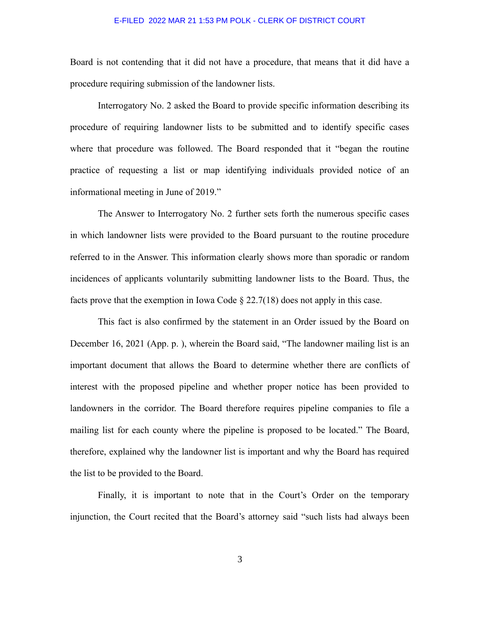Board is not contending that it did not have a procedure, that means that it did have a procedure requiring submission of the landowner lists.

Interrogatory No. 2 asked the Board to provide specific information describing its procedure of requiring landowner lists to be submitted and to identify specific cases where that procedure was followed. The Board responded that it "began the routine practice of requesting a list or map identifying individuals provided notice of an informational meeting in June of 2019."

The Answer to Interrogatory No. 2 further sets forth the numerous specific cases in which landowner lists were provided to the Board pursuant to the routine procedure referred to in the Answer. This information clearly shows more than sporadic or random incidences of applicants voluntarily submitting landowner lists to the Board. Thus, the facts prove that the exemption in Iowa Code  $\S 22.7(18)$  does not apply in this case.

This fact is also confirmed by the statement in an Order issued by the Board on December 16, 2021 (App. p. ), wherein the Board said, "The landowner mailing list is an important document that allows the Board to determine whether there are conflicts of interest with the proposed pipeline and whether proper notice has been provided to landowners in the corridor. The Board therefore requires pipeline companies to file a mailing list for each county where the pipeline is proposed to be located." The Board, therefore, explained why the landowner list is important and why the Board has required the list to be provided to the Board.

Finally, it is important to note that in the Court's Order on the temporary injunction, the Court recited that the Board's attorney said "such lists had always been